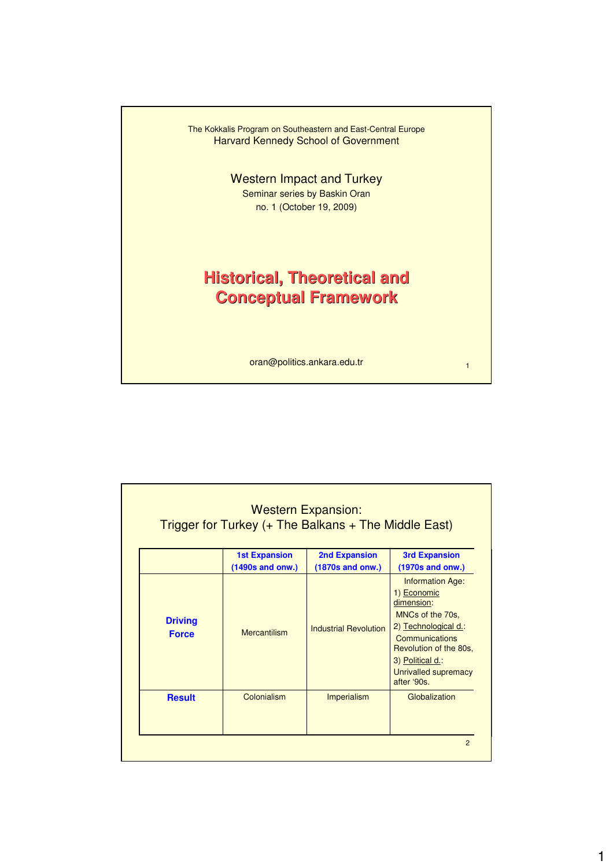

|                                | <b>1st Expansion</b><br>(1490s and onw.) | <b>2nd Expansion</b><br>(1870s and onw.) | <b>3rd Expansion</b><br>(1970s and onw.)                                                                                                                                                                |
|--------------------------------|------------------------------------------|------------------------------------------|---------------------------------------------------------------------------------------------------------------------------------------------------------------------------------------------------------|
| <b>Driving</b><br><b>Force</b> | <b>Mercantilism</b>                      | <b>Industrial Revolution</b>             | <b>Information Age:</b><br>1) Economic<br>dimension:<br>MNCs of the 70s.<br>2) Technological d.:<br>Communications<br>Revolution of the 80s,<br>3) Political d.:<br>Unrivalled supremacy<br>after '90s. |
| <b>Result</b>                  | Colonialism                              | Imperialism                              | Globalization                                                                                                                                                                                           |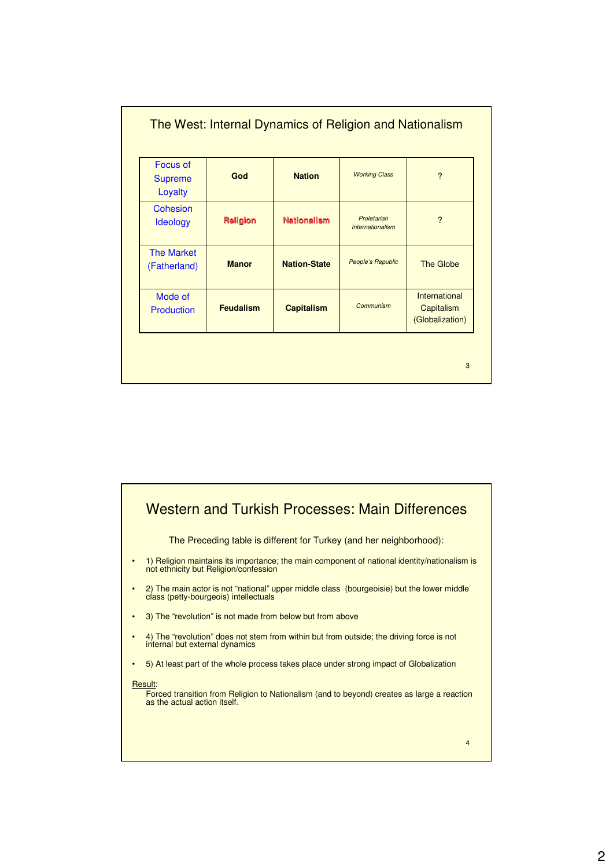| <b>Focus of</b><br><b>Supreme</b><br>Loyalty | God              | <b>Nation</b>       | <b>Working Class</b>            | $\overline{\phantom{0}}$                       |
|----------------------------------------------|------------------|---------------------|---------------------------------|------------------------------------------------|
| Cohesion<br><b>Ideology</b>                  | <b>Religion</b>  | <b>Nationalism</b>  | Proletarian<br>Internationalism | $\overline{\phantom{0}}$                       |
| <b>The Market</b><br>(Fatherland)            | <b>Manor</b>     | <b>Nation-State</b> | People's Republic               | The Globe                                      |
| Mode of<br>Production                        | <b>Feudalism</b> | <b>Capitalism</b>   | Communism                       | International<br>Capitalism<br>(Globalization) |

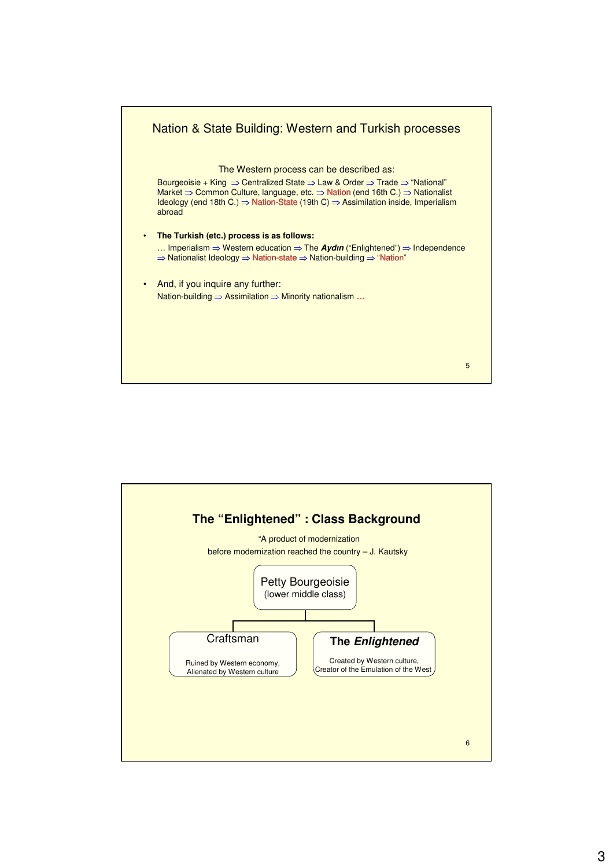

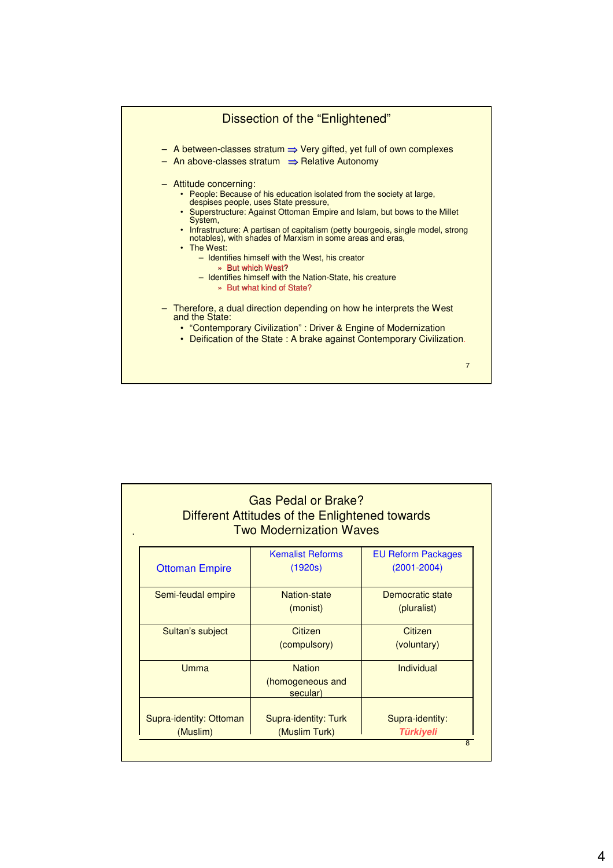

|                                     | Different Attitudes of the Enlightened towards<br><b>Two Modernization Waves</b> |                                              |
|-------------------------------------|----------------------------------------------------------------------------------|----------------------------------------------|
| <b>Ottoman Empire</b>               | <b>Kemalist Reforms</b><br>(1920s)                                               | <b>EU Reform Packages</b><br>$(2001 - 2004)$ |
| Semi-feudal empire                  | Nation-state<br>(monist)                                                         | Democratic state<br>(pluralist)              |
| Sultan's subject                    | Citizen<br>(compulsory)                                                          | Citizen<br>(voluntary)                       |
| <b>Umma</b>                         | <b>Nation</b><br>(homogeneous and<br>secular)                                    | Individual                                   |
| Supra-identity: Ottoman<br>(Muslim) | Supra-identity: Turk<br>(Muslim Turk)                                            | Supra-identity:<br><b>Türkiyeli</b>          |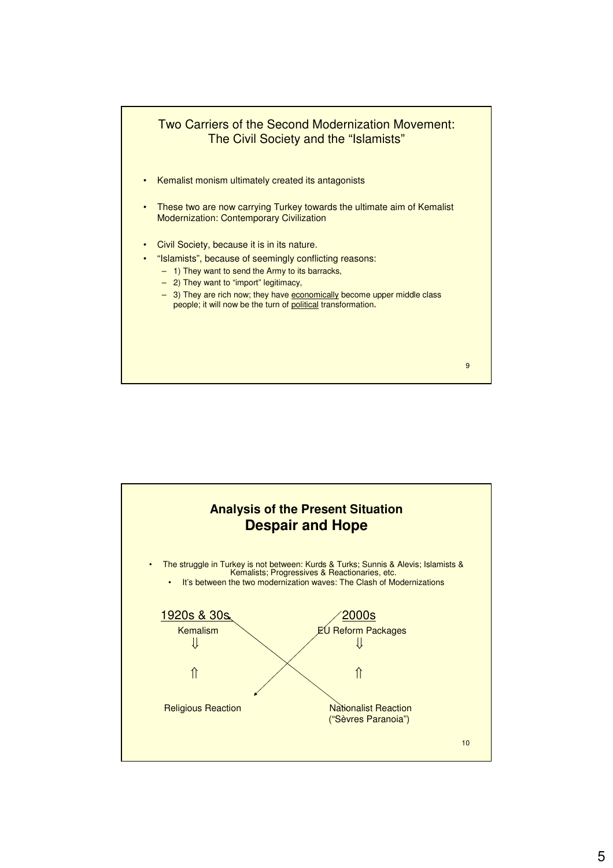